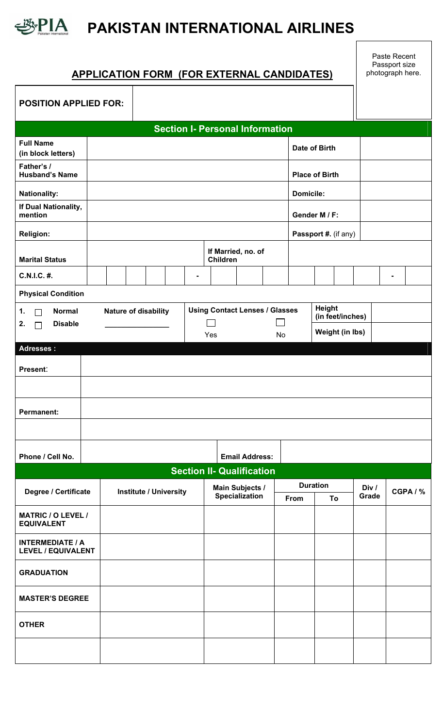

 $\mathsf{r}$ 

## **PAKISTAN INTERNATIONAL AIRLINES**

## **APPLICATION FORM (FOR EXTERNAL CANDIDATES)**

Τ

Paste Recent Passport size photograph here.

| <b>POSITION APPLIED FOR:</b>                         |  |                      |                               |  |                  |                                       |                        |                                        |  |                            |                 |                      |       |                |  |
|------------------------------------------------------|--|----------------------|-------------------------------|--|------------------|---------------------------------------|------------------------|----------------------------------------|--|----------------------------|-----------------|----------------------|-------|----------------|--|
|                                                      |  |                      |                               |  |                  |                                       |                        | <b>Section I- Personal Information</b> |  |                            |                 |                      |       |                |  |
| <b>Full Name</b><br>(in block letters)               |  |                      |                               |  |                  |                                       |                        |                                        |  | Date of Birth              |                 |                      |       |                |  |
| Father's /<br><b>Husband's Name</b>                  |  |                      |                               |  |                  |                                       |                        |                                        |  | <b>Place of Birth</b>      |                 |                      |       |                |  |
| <b>Nationality:</b>                                  |  |                      |                               |  | <b>Domicile:</b> |                                       |                        |                                        |  |                            |                 |                      |       |                |  |
| If Dual Nationality,<br>mention                      |  |                      |                               |  |                  |                                       |                        |                                        |  | Gender M / F:              |                 |                      |       |                |  |
| <b>Religion:</b>                                     |  |                      |                               |  |                  |                                       |                        |                                        |  |                            |                 | Passport #. (if any) |       |                |  |
| <b>Marital Status</b>                                |  |                      |                               |  |                  |                                       | Children               | If Married, no. of                     |  |                            |                 |                      |       |                |  |
| C.N.I.C. #.                                          |  |                      |                               |  |                  | $\blacksquare$                        |                        |                                        |  |                            |                 |                      |       | $\blacksquare$ |  |
| <b>Physical Condition</b>                            |  |                      |                               |  |                  |                                       |                        |                                        |  |                            |                 |                      |       |                |  |
| <b>Normal</b><br>1.<br>П<br><b>Disable</b>           |  | Nature of disability |                               |  |                  | <b>Using Contact Lenses / Glasses</b> |                        |                                        |  | Height<br>(in feet/inches) |                 |                      |       |                |  |
| 2.<br>$\mathbf{I}$                                   |  |                      |                               |  |                  | Yes                                   | No                     |                                        |  |                            | Weight (in lbs) |                      |       |                |  |
| <b>Adresses:</b>                                     |  |                      |                               |  |                  |                                       |                        |                                        |  |                            |                 |                      |       |                |  |
| Present:                                             |  |                      |                               |  |                  |                                       |                        |                                        |  |                            |                 |                      |       |                |  |
|                                                      |  |                      |                               |  |                  |                                       |                        |                                        |  |                            |                 |                      |       |                |  |
| <b>Permanent:</b>                                    |  |                      |                               |  |                  |                                       |                        |                                        |  |                            |                 |                      |       |                |  |
|                                                      |  |                      |                               |  |                  |                                       |                        |                                        |  |                            |                 |                      |       |                |  |
| Phone / Cell No.                                     |  |                      |                               |  |                  |                                       |                        | <b>Email Address:</b>                  |  |                            |                 |                      |       |                |  |
|                                                      |  |                      |                               |  |                  |                                       |                        | <b>Section II- Qualification</b>       |  |                            |                 |                      |       |                |  |
|                                                      |  |                      |                               |  |                  |                                       | <b>Main Subjects /</b> |                                        |  | <b>Duration</b>            |                 | Div /                |       |                |  |
| Degree / Certificate                                 |  |                      | <b>Institute / University</b> |  |                  |                                       |                        | Specialization                         |  | From                       | To              |                      | Grade | CGPA / %       |  |
| <b>MATRIC / O LEVEL /</b><br><b>EQUIVALENT</b>       |  |                      |                               |  |                  |                                       |                        |                                        |  |                            |                 |                      |       |                |  |
| <b>INTERMEDIATE / A</b><br><b>LEVEL / EQUIVALENT</b> |  |                      |                               |  |                  |                                       |                        |                                        |  |                            |                 |                      |       |                |  |
| <b>GRADUATION</b>                                    |  |                      |                               |  |                  |                                       |                        |                                        |  |                            |                 |                      |       |                |  |
| <b>MASTER'S DEGREE</b>                               |  |                      |                               |  |                  |                                       |                        |                                        |  |                            |                 |                      |       |                |  |
| <b>OTHER</b>                                         |  |                      |                               |  |                  |                                       |                        |                                        |  |                            |                 |                      |       |                |  |
|                                                      |  |                      |                               |  |                  |                                       |                        |                                        |  |                            |                 |                      |       |                |  |
|                                                      |  |                      |                               |  |                  |                                       |                        |                                        |  |                            |                 |                      |       |                |  |